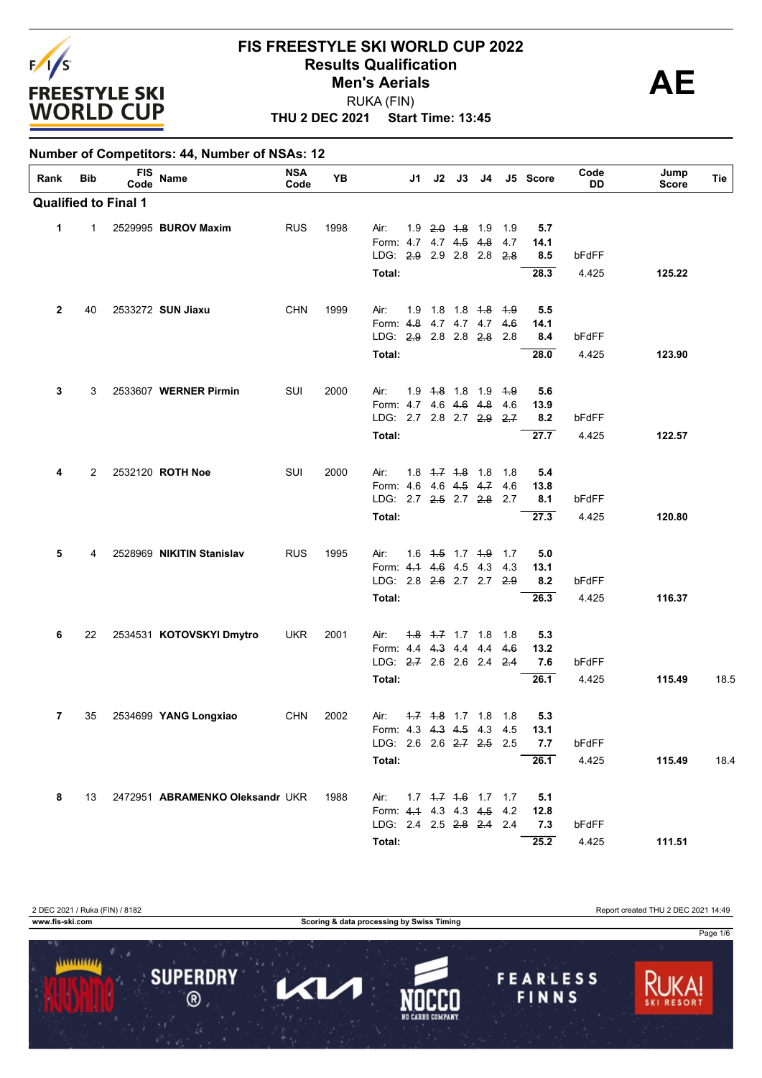

#### **THU 2 DEC 2021 Start Time: 13:45 FIS FREESTYLE SKI WORLD CUP 2022 Results Qualification**<br> **AE** RUKA (FIN) **Men's Aerials**

#### **Number of Competitors: 44, Number of NSAs: 12**

| Rank         | Bib            | <b>FIS</b><br>Code          | Name                            | <b>NSA</b><br>Code | YB   | J1                        |                                   | $J2$ $J3$ | J4          |      | J5 Score | Code<br>DD | Jump<br><b>Score</b> | Tie  |
|--------------|----------------|-----------------------------|---------------------------------|--------------------|------|---------------------------|-----------------------------------|-----------|-------------|------|----------|------------|----------------------|------|
|              |                | <b>Qualified to Final 1</b> |                                 |                    |      |                           |                                   |           |             |      |          |            |                      |      |
| 1            | $\mathbf{1}$   |                             | 2529995 BUROV Maxim             | <b>RUS</b>         | 1998 | Air:                      | $1.9$ $2.0$ $1.8$ $1.9$           |           |             | 1.9  | 5.7      |            |                      |      |
|              |                |                             |                                 |                    |      | Form: 4.7 4.7 4.5 4.8     |                                   |           |             | 4.7  | 14.1     |            |                      |      |
|              |                |                             |                                 |                    |      | LDG: 2.9 2.9 2.8 2.8      |                                   |           |             | 2.8  | 8.5      | bFdFF      |                      |      |
|              |                |                             |                                 |                    |      | Total:                    |                                   |           |             |      | 28.3     | 4.425      | 125.22               |      |
| $\mathbf{2}$ | 40             |                             | 2533272 SUN Jiaxu               | <b>CHN</b>         | 1999 | Air:                      | 1.9 1.8 1.8 4.8 4.9               |           |             |      | 5.5      |            |                      |      |
|              |                |                             |                                 |                    |      | Form: 4.8                 |                                   |           | 4.7 4.7 4.7 | 4.6  | 14.1     |            |                      |      |
|              |                |                             |                                 |                    |      | LDG: 2.9 2.8 2.8 2.8      |                                   |           |             | 2.8  | 8.4      | bFdFF      |                      |      |
|              |                |                             |                                 |                    |      | Total:                    |                                   |           |             |      | 28.0     | 4.425      | 123.90               |      |
| 3            | 3              |                             | 2533607 WERNER Pirmin           | SUI                | 2000 | Air:                      | 1.9 4.8 1.8 1.9                   |           |             | $+9$ | 5.6      |            |                      |      |
|              |                |                             |                                 |                    |      | Form: 4.7 4.6 4.6 4.8     |                                   |           |             | 4.6  | 13.9     |            |                      |      |
|              |                |                             |                                 |                    |      | LDG: 2.7 2.8 2.7 2.9 2.7  |                                   |           |             |      | 8.2      | bFdFF      |                      |      |
|              |                |                             |                                 |                    |      | Total:                    |                                   |           |             |      | 27.7     | 4.425      | 122.57               |      |
| 4            | $\overline{2}$ |                             | 2532120 ROTH Noe                | SUI                | 2000 | Air:                      | $1.8$ $1.7$ $1.8$ $1.8$           |           |             | 1.8  | 5.4      |            |                      |      |
|              |                |                             |                                 |                    |      | Form: 4.6 4.6 4.5 4.7     |                                   |           |             | 4.6  | 13.8     |            |                      |      |
|              |                |                             |                                 |                    |      | LDG: 2.7 2.5 2.7 2.8 2.7  |                                   |           |             |      | 8.1      | bFdFF      |                      |      |
|              |                |                             |                                 |                    |      | Total:                    |                                   |           |             |      | 27.3     | 4.425      | 120.80               |      |
| 5            | 4              |                             | 2528969 NIKITIN Stanislav       | <b>RUS</b>         | 1995 | Air:                      | $1.6$ $1.5$ $1.7$ $1.9$           |           |             | 1.7  | 5.0      |            |                      |      |
|              |                |                             |                                 |                    |      | Form: 4.1 4.6 4.5 4.3     |                                   |           |             | 4.3  | 13.1     |            |                      |      |
|              |                |                             |                                 |                    |      | LDG: 2.8 2.6 2.7 2.7 2.9  |                                   |           |             |      | 8.2      | bFdFF      |                      |      |
|              |                |                             |                                 |                    |      | Total:                    |                                   |           |             |      | 26.3     | 4.425      | 116.37               |      |
| 6            | 22             |                             | 2534531 KOTOVSKYI Dmytro        | <b>UKR</b>         | 2001 | Air:                      | <del>1.8</del> <del>1.7</del> 1.7 |           | 1.8         | 1.8  | 5.3      |            |                      |      |
|              |                |                             |                                 |                    |      | Form: 4.4 4.3 4.4         |                                   |           | 4.4         | 4.6  | 13.2     |            |                      |      |
|              |                |                             |                                 |                    |      | LDG: 2.7 2.6 2.6 2.4 2.4  |                                   |           |             |      | 7.6      | bFdFF      |                      |      |
|              |                |                             |                                 |                    |      | Total:                    |                                   |           |             |      | 26.1     | 4.425      | 115.49               | 18.5 |
| 7            | 35             |                             | 2534699 YANG Longxiao           | <b>CHN</b>         | 2002 | Air:                      | $1.7$ $1.8$ 1.7 1.8               |           |             | 1.8  | 5.3      |            |                      |      |
|              |                |                             |                                 |                    |      | Form: 4.3 4.3 4.5 4.3 4.5 |                                   |           |             |      | 13.1     |            |                      |      |
|              |                |                             |                                 |                    |      | LDG: 2.6 2.6 2.7 2.5 2.5  |                                   |           |             |      | 7.7      | bFdFF      |                      |      |
|              |                |                             |                                 |                    |      | Total:                    |                                   |           |             |      | 26.1     | 4.425      | 115.49               | 18.4 |
| 8            | 13             |                             | 2472951 ABRAMENKO Oleksandr UKR |                    | 1988 | Air:                      | $1.7$ $1.7$ $1.6$ $1.7$ $1.7$     |           |             |      | 5.1      |            |                      |      |
|              |                |                             |                                 |                    |      | Form: 4.4 4.3 4.3 4.5 4.2 |                                   |           |             |      | 12.8     |            |                      |      |
|              |                |                             |                                 |                    |      | LDG: 2.4 2.5 2.8 2.4 2.4  |                                   |           |             |      | 7.3      | bFdFF      |                      |      |
|              |                |                             |                                 |                    |      | Total:                    |                                   |           |             |      | 25.2     | 4.425      | 111.51               |      |

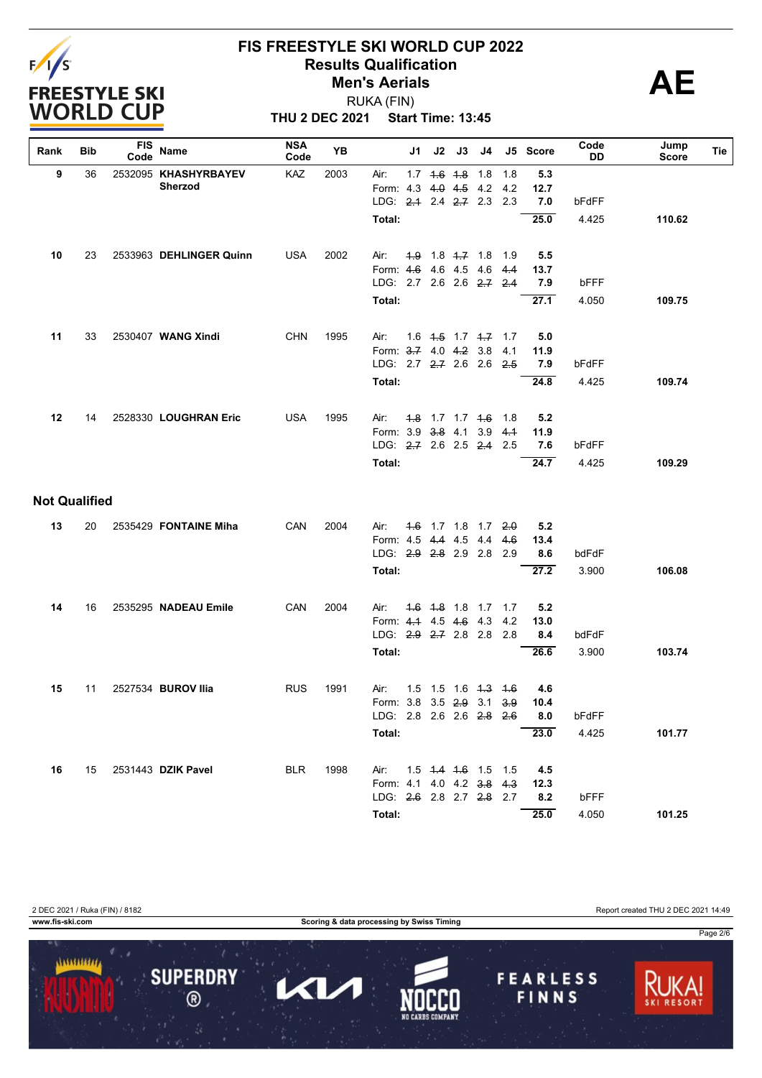

**THU 2 DEC 2021 Start Time: 13:45** RUKA (FIN)

| Rank                 | <b>Bib</b> | <b>FIS</b><br>Code | Name                    | <b>NSA</b><br>Code | YB   |                                     | J1  | J2          | J3                                 | J4                            |             | J5 Score    | Code<br>DD | Jump<br><b>Score</b> | Tie |
|----------------------|------------|--------------------|-------------------------|--------------------|------|-------------------------------------|-----|-------------|------------------------------------|-------------------------------|-------------|-------------|------------|----------------------|-----|
| 9                    | 36         |                    | 2532095 KHASHYRBAYEV    | KAZ                | 2003 | Air:                                | 1.7 | $4.6$ $4.8$ |                                    | 1.8                           | 1.8         | 5.3         |            |                      |     |
|                      |            |                    | Sherzod                 |                    |      | Form: 4.3                           |     |             | $4.0$ $4.5$ $4.2$                  |                               | 4.2         | 12.7        |            |                      |     |
|                      |            |                    |                         |                    |      | LDG: 2.4 2.4 2.7 2.3                |     |             |                                    |                               | 2.3         | 7.0         | bFdFF      |                      |     |
|                      |            |                    |                         |                    |      | Total:                              |     |             |                                    |                               |             | 25.0        | 4.425      | 110.62               |     |
|                      |            |                    |                         |                    |      |                                     |     |             |                                    |                               |             |             |            |                      |     |
| 10                   | 23         |                    | 2533963 DEHLINGER Quinn | <b>USA</b>         | 2002 | Air:<br>Form: 4.6                   |     |             | $4.9$ 1.8 $4.7$ 1.8<br>4.6 4.5 4.6 |                               | 1.9<br>4.4  | 5.5<br>13.7 |            |                      |     |
|                      |            |                    |                         |                    |      | LDG: 2.7 2.6 2.6 2.7 2.4            |     |             |                                    |                               |             | 7.9         | bFFF       |                      |     |
|                      |            |                    |                         |                    |      | Total:                              |     |             |                                    |                               |             | 27.1        | 4.050      | 109.75               |     |
|                      |            |                    |                         |                    |      |                                     |     |             |                                    |                               |             |             |            |                      |     |
| 11                   | 33         |                    | 2530407 WANG Xindi      | <b>CHN</b>         | 1995 | Air:                                |     |             |                                    | $1.6$ $4.5$ $1.7$ $4.7$ $1.7$ |             | 5.0         |            |                      |     |
|                      |            |                    |                         |                    |      | Form: 3.7 4.0 4.2 3.8               |     |             |                                    |                               | 4.1         | 11.9        |            |                      |     |
|                      |            |                    |                         |                    |      | LDG: 2.7 2.7 2.6 2.6                |     |             |                                    |                               | 2.5         | 7.9         | bFdFF      |                      |     |
|                      |            |                    |                         |                    |      | Total:                              |     |             |                                    |                               |             | 24.8        | 4.425      | 109.74               |     |
| 12                   | 14         |                    | 2528330 LOUGHRAN Eric   | <b>USA</b>         | 1995 | Air:                                |     |             | $1.8$ 1.7 1.7 $1.6$                |                               | 1.8         | 5.2         |            |                      |     |
|                      |            |                    |                         |                    |      | Form: 3.9                           |     | $3.8$ 4.1   |                                    | 3.9                           | 4.1         | 11.9        |            |                      |     |
|                      |            |                    |                         |                    |      | LDG: 2.7 2.6 2.5 2.4                |     |             |                                    |                               | 2.5         | 7.6         | bFdFF      |                      |     |
|                      |            |                    |                         |                    |      | Total:                              |     |             |                                    |                               |             | 24.7        | 4.425      | 109.29               |     |
| <b>Not Qualified</b> |            |                    |                         |                    |      |                                     |     |             |                                    |                               |             |             |            |                      |     |
| 13                   | 20         |                    | 2535429 FONTAINE Miha   | CAN                | 2004 | Air:                                |     |             |                                    | $4.6$ 1.7 1.8 1.7             | 2.0         | 5.2         |            |                      |     |
|                      |            |                    |                         |                    |      | Form: 4.5 4.4 4.5                   |     |             |                                    | 4.4                           | 4.6         | 13.4        |            |                      |     |
|                      |            |                    |                         |                    |      | LDG: 2.9 2.8 2.9 2.8                |     |             |                                    |                               | 2.9         | 8.6         | bdFdF      |                      |     |
|                      |            |                    |                         |                    |      | Total:                              |     |             |                                    |                               |             | 27.2        | 3.900      | 106.08               |     |
| 14                   | 16         |                    | 2535295 NADEAU Emile    | CAN                | 2004 | Air:                                |     |             | 4.6 4.8 1.8 1.7                    |                               | 1.7         | 5.2         |            |                      |     |
|                      |            |                    |                         |                    |      | Form: 4.4 4.5 4.6 4.3               |     |             |                                    |                               | 4.2         | 13.0        |            |                      |     |
|                      |            |                    |                         |                    |      | LDG: 2.9 2.7 2.8 2.8                |     |             |                                    |                               | 2.8         | 8.4         | bdFdF      |                      |     |
|                      |            |                    |                         |                    |      | Total:                              |     |             |                                    |                               |             | 26.6        | 3.900      | 103.74               |     |
|                      |            |                    |                         |                    |      |                                     |     |             |                                    |                               |             |             |            |                      |     |
| 15                   | 11         |                    | 2527534 BUROV Ilia      | <b>RUS</b>         | 1991 | Air:<br>Form: 3.8 3.5 2.9 3.1       | 1.5 |             | $1.5$ 1.6 $4.3$                    |                               | $+6$<br>3.9 | 4.6<br>10.4 |            |                      |     |
|                      |            |                    |                         |                    |      | LDG: 2.8 2.6 2.6 <del>2.8</del> 2.6 |     |             |                                    |                               |             | 8.0         | bFdFF      |                      |     |
|                      |            |                    |                         |                    |      | Total:                              |     |             |                                    |                               |             | 23.0        | 4.425      | 101.77               |     |
|                      |            |                    |                         |                    |      |                                     |     |             |                                    |                               |             |             |            |                      |     |
| 16                   | 15         |                    | 2531443 DZIK Pavel      | <b>BLR</b>         | 1998 | Air:                                |     |             |                                    | 1.5 4.4 4.6 1.5 1.5           |             | 4.5         |            |                      |     |
|                      |            |                    |                         |                    |      | Form: 4.1 4.0 4.2 3.8 4.3           |     |             |                                    |                               |             | 12.3        |            |                      |     |
|                      |            |                    |                         |                    |      | LDG: 2.6 2.8 2.7 2.8 2.7            |     |             |                                    |                               |             | 8.2         | bFFF       |                      |     |
|                      |            |                    |                         |                    |      | Total:                              |     |             |                                    |                               |             | 25.0        | 4.050      | 101.25               |     |

2 DEC 2021 / Ruka (FIN) / 8182 Report created THU 2 DEC 2021 14:49

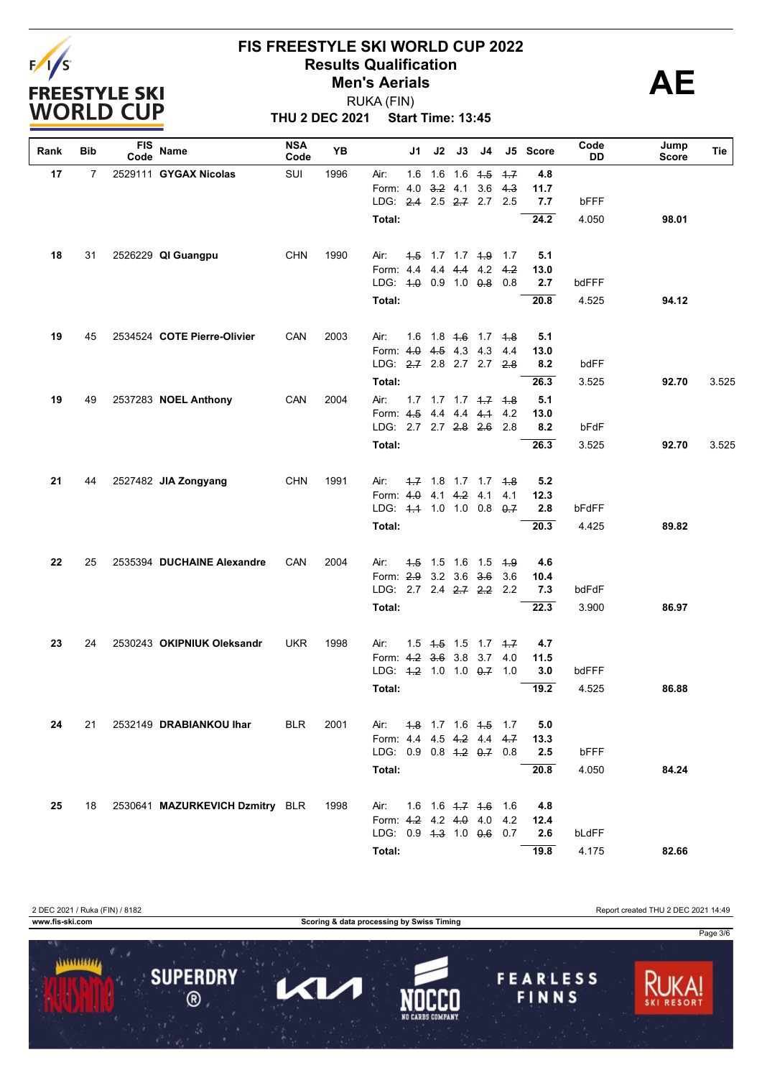

**THU 2 DEC 2021 Start Time: 13:45** RUKA (FIN)

| Rank | Bib            | <b>FIS</b><br>Code | Name                            | <b>NSA</b><br>Code | YB   |                           | J1  | J2 | J3              | J4                                  |        | J5 Score | Code<br>DD | Jump<br><b>Score</b> | Tie   |
|------|----------------|--------------------|---------------------------------|--------------------|------|---------------------------|-----|----|-----------------|-------------------------------------|--------|----------|------------|----------------------|-------|
| 17   | $\overline{7}$ |                    | 2529111 GYGAX Nicolas           | SUI                | 1996 | Air:                      | 1.6 |    | $1.6$ 1.6 $4.5$ |                                     | $-1.7$ | 4.8      |            |                      |       |
|      |                |                    |                                 |                    |      | Form: 4.0                 |     |    | $3.2$ 4.1       | 3.6                                 | 4.3    | 11.7     |            |                      |       |
|      |                |                    |                                 |                    |      | LDG: 2.4 2.5 2.7 2.7 2.5  |     |    |                 |                                     |        | 7.7      | bFFF       |                      |       |
|      |                |                    |                                 |                    |      | Total:                    |     |    |                 |                                     |        | 24.2     | 4.050      | 98.01                |       |
| 18   | 31             |                    | 2526229 QI Guangpu              | <b>CHN</b>         | 1990 | Air:                      |     |    |                 | 4.5 1.7 1.7 4.9 1.7                 |        | 5.1      |            |                      |       |
|      |                |                    |                                 |                    |      | Form: 4.4 4.4 4.4 4.2     |     |    |                 |                                     | 4.2    | 13.0     |            |                      |       |
|      |                |                    |                                 |                    |      | LDG: $4.0$ 0.9 1.0 $0.8$  |     |    |                 |                                     | 0.8    | 2.7      | bdFFF      |                      |       |
|      |                |                    |                                 |                    |      | Total:                    |     |    |                 |                                     |        | 20.8     | 4.525      | 94.12                |       |
| 19   | 45             |                    | 2534524 COTE Pierre-Olivier     | CAN                | 2003 | Air:                      |     |    |                 | 1.6 1.8 <del>1.6</del> 1.7 4.8      |        | 5.1      |            |                      |       |
|      |                |                    |                                 |                    |      | Form: 4.0 4.5 4.3 4.3 4.4 |     |    |                 |                                     |        | 13.0     |            |                      |       |
|      |                |                    |                                 |                    |      | LDG: 2.7 2.8 2.7 2.7 2.8  |     |    |                 |                                     |        | 8.2      | bdFF       |                      |       |
|      |                |                    |                                 |                    |      | Total:                    |     |    |                 |                                     |        | 26.3     | 3.525      | 92.70                | 3.525 |
| 19   | 49             |                    | 2537283 NOEL Anthony            | CAN                | 2004 | Air:                      |     |    |                 | $1.7$ $1.7$ $1.7$ $1.7$ $1.7$ $1.8$ |        | 5.1      |            |                      |       |
|      |                |                    |                                 |                    |      | Form: 4.5 4.4 4.4 4.1     |     |    |                 |                                     | 4.2    | 13.0     |            |                      |       |
|      |                |                    |                                 |                    |      | LDG: 2.7 2.7 2.8 2.6 2.8  |     |    |                 |                                     |        | 8.2      | bFdF       |                      |       |
|      |                |                    |                                 |                    |      | Total:                    |     |    |                 |                                     |        | 26.3     | 3.525      | 92.70                | 3.525 |
| 21   | 44             |                    | 2527482 JIA Zongyang            | <b>CHN</b>         | 1991 | Air:                      |     |    |                 | 4.7 1.8 1.7 1.7 4.8                 |        | 5.2      |            |                      |       |
|      |                |                    |                                 |                    |      | Form: 4.0 4.1 4.2 4.1     |     |    |                 |                                     | 4.1    | 12.3     |            |                      |       |
|      |                |                    |                                 |                    |      | LDG: 4.4 1.0 1.0 0.8 0.7  |     |    |                 |                                     |        | 2.8      | bFdFF      |                      |       |
|      |                |                    |                                 |                    |      | Total:                    |     |    |                 |                                     |        | 20.3     | 4.425      | 89.82                |       |
| 22   | 25             |                    | 2535394 DUCHAINE Alexandre      | CAN                | 2004 | Air:                      |     |    |                 | 4.5 1.5 1.6 1.5 4.9                 |        | 4.6      |            |                      |       |
|      |                |                    |                                 |                    |      | Form: 2.9 3.2 3.6 3.6     |     |    |                 |                                     | 3.6    | 10.4     |            |                      |       |
|      |                |                    |                                 |                    |      | LDG: 2.7 2.4 2.7 2.2 2.2  |     |    |                 |                                     |        | 7.3      | bdFdF      |                      |       |
|      |                |                    |                                 |                    |      | Total:                    |     |    |                 |                                     |        | 22.3     | 3.900      | 86.97                |       |
| 23   | 24             |                    | 2530243 OKIPNIUK Oleksandr      | <b>UKR</b>         | 1998 | Air:                      |     |    |                 | $1.5$ $1.5$ $1.7$ $1.7$             |        | 4.7      |            |                      |       |
|      |                |                    |                                 |                    |      | Form: 4.2 3.6 3.8 3.7     |     |    |                 |                                     | 4.0    | 11.5     |            |                      |       |
|      |                |                    |                                 |                    |      | LDG: 4.2 1.0 1.0 0.7 1.0  |     |    |                 |                                     |        | 3.0      | bdFFF      |                      |       |
|      |                |                    |                                 |                    |      | Total:                    |     |    |                 |                                     |        | 19.2     | 4.525      | 86.88                |       |
| 24   | 21             |                    | 2532149 DRABIANKOU Ihar         | <b>BLR</b>         | 2001 | Air:                      |     |    |                 | 4.8 1.7 1.6 4.5 1.7                 |        | 5.0      |            |                      |       |
|      |                |                    |                                 |                    |      | Form: 4.4 4.5 4.2 4.4 4.7 |     |    |                 |                                     |        | 13.3     |            |                      |       |
|      |                |                    |                                 |                    |      | LDG: 0.9 0.8 4.2 0.7 0.8  |     |    |                 |                                     |        | 2.5      | bFFF       |                      |       |
|      |                |                    |                                 |                    |      | Total:                    |     |    |                 |                                     |        | 20.8     | 4.050      | 84.24                |       |
| 25   | 18             |                    | 2530641 MAZURKEVICH Dzmitry BLR |                    | 1998 | Air:                      |     |    |                 | $1.6$ $1.6$ $1.7$ $1.6$ $1.6$       |        | 4.8      |            |                      |       |
|      |                |                    |                                 |                    |      | Form: 4.2 4.2 4.0 4.0 4.2 |     |    |                 |                                     |        | 12.4     |            |                      |       |
|      |                |                    |                                 |                    |      | LDG: 0.9 4.3 1.0 0.6 0.7  |     |    |                 |                                     |        | 2.6      | bLdFF      |                      |       |
|      |                |                    |                                 |                    |      | Total:                    |     |    |                 |                                     |        | 19.8     | 4.175      | 82.66                |       |

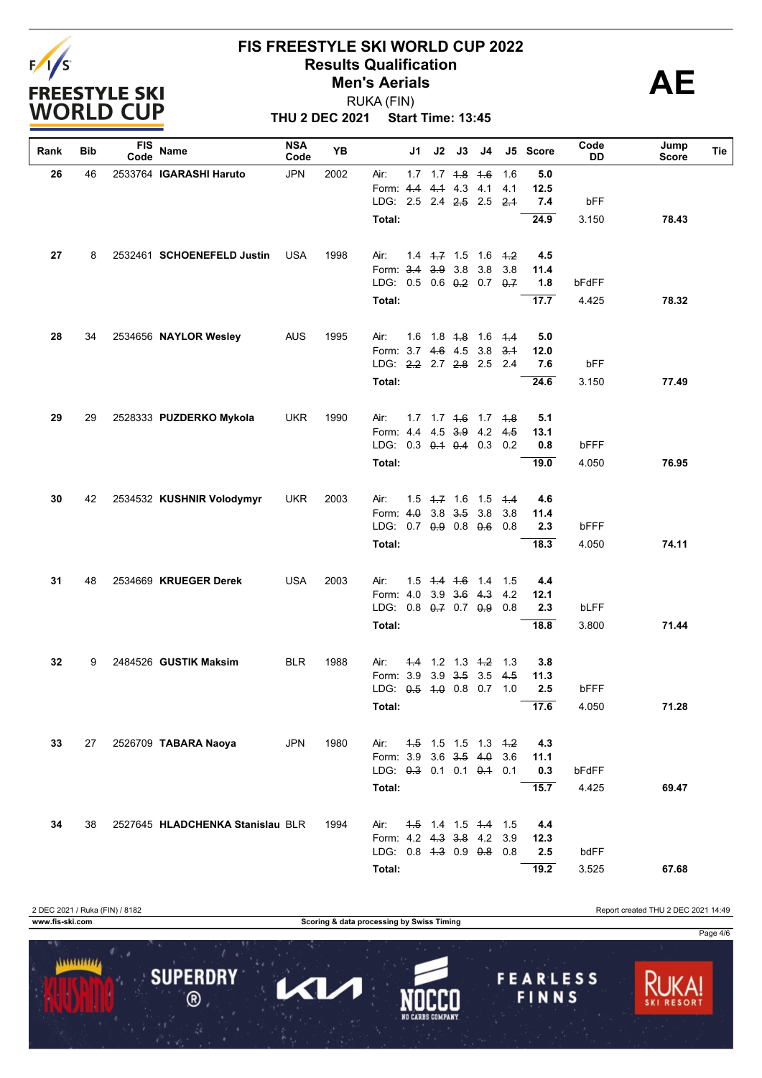

**THU 2 DEC 2021 Start Time: 13:45** RUKA (FIN)

| Rank | Bib | <b>FIS</b><br>Code | Name                             | <b>NSA</b><br>Code | YB   |                               | J1 | J2 | J3                      | J4                                        |     | J5 Score          | Code<br>DD | Jump<br><b>Score</b> | Tie |
|------|-----|--------------------|----------------------------------|--------------------|------|-------------------------------|----|----|-------------------------|-------------------------------------------|-----|-------------------|------------|----------------------|-----|
| 26   | 46  |                    | 2533764 IGARASHI Haruto          | <b>JPN</b>         | 2002 | Air:                          |    |    | $1.7$ $1.7$ $4.8$ $4.6$ |                                           | 1.6 | 5.0               |            |                      |     |
|      |     |                    |                                  |                    |      | Form: 4.4                     |    |    | 44 43 41                |                                           | 4.1 | 12.5              |            |                      |     |
|      |     |                    |                                  |                    |      | LDG: 2.5 2.4 2.5 2.5 2.1      |    |    |                         |                                           |     | 7.4               | bFF        |                      |     |
|      |     |                    |                                  |                    |      | Total:                        |    |    |                         |                                           |     | $\overline{24.9}$ | 3.150      | 78.43                |     |
| 27   | 8   |                    | 2532461 SCHOENEFELD Justin       | <b>USA</b>         | 1998 | Air:                          |    |    |                         | $1.4$ $1.7$ $1.5$ $1.6$ $1.2$             |     | 4.5               |            |                      |     |
|      |     |                    |                                  |                    |      | Form: 3.4                     |    |    | $3.9$ 3.8               | 3.8                                       | 3.8 | 11.4              |            |                      |     |
|      |     |                    |                                  |                    |      | LDG: 0.5 0.6 0.2 0.7 0.7      |    |    |                         |                                           |     | 1.8               | bFdFF      |                      |     |
|      |     |                    |                                  |                    |      | Total:                        |    |    |                         |                                           |     | 17.7              | 4.425      | 78.32                |     |
| 28   | 34  |                    | 2534656 NAYLOR Wesley            | <b>AUS</b>         | 1995 | Air:                          |    |    |                         | 1.6 1.8 <del>1.8</del> 1.6 <del>1.4</del> |     | 5.0               |            |                      |     |
|      |     |                    |                                  |                    |      | Form: 3.7 4.6 4.5 3.8         |    |    |                         |                                           | 3.4 | 12.0              |            |                      |     |
|      |     |                    |                                  |                    |      | LDG: 2.2 2.7 2.8 2.5 2.4      |    |    |                         |                                           |     | 7.6               | bFF        |                      |     |
|      |     |                    |                                  |                    |      | Total:                        |    |    |                         |                                           |     | 24.6              | 3.150      | 77.49                |     |
|      |     |                    |                                  |                    |      |                               |    |    |                         |                                           |     |                   |            |                      |     |
| 29   | 29  |                    | 2528333 PUZDERKO Mykola          | <b>UKR</b>         | 1990 | Air:<br>Form: 4.4 4.5 3.9 4.2 |    |    |                         | 1.7 1.7 4.6 1.7 4.8                       | 4.5 | 5.1<br>13.1       |            |                      |     |
|      |     |                    |                                  |                    |      | LDG: 0.3 0.4 0.4 0.3          |    |    |                         |                                           | 0.2 | 0.8               | bFFF       |                      |     |
|      |     |                    |                                  |                    |      | Total:                        |    |    |                         |                                           |     | 19.0              | 4.050      | 76.95                |     |
|      |     |                    |                                  |                    |      |                               |    |    |                         |                                           |     |                   |            |                      |     |
| 30   | 42  |                    | 2534532 KUSHNIR Volodymyr        | <b>UKR</b>         | 2003 | Air:                          |    |    |                         | $1.5$ 4.7 1.6 1.5 4.4                     |     | 4.6               |            |                      |     |
|      |     |                    |                                  |                    |      | Form: $4.0$                   |    |    | $3.8$ $3.5$ $3.8$       |                                           | 3.8 | 11.4              |            |                      |     |
|      |     |                    |                                  |                    |      | LDG: 0.7 0.9 0.8 0.6          |    |    |                         |                                           | 0.8 | 2.3               | bFFF       |                      |     |
|      |     |                    |                                  |                    |      | Total:                        |    |    |                         |                                           |     | 18.3              | 4.050      | 74.11                |     |
| 31   | 48  |                    | 2534669 KRUEGER Derek            | <b>USA</b>         | 2003 | Air:                          |    |    |                         | 1.5 4.4 4.6 1.4 1.5                       |     | 4.4               |            |                      |     |
|      |     |                    |                                  |                    |      | Form: 4.0 3.9 3.6 4.3         |    |    |                         |                                           | 4.2 | 12.1              |            |                      |     |
|      |     |                    |                                  |                    |      | LDG: 0.8 0.7 0.7 0.9          |    |    |                         |                                           | 0.8 | 2.3               | bLFF       |                      |     |
|      |     |                    |                                  |                    |      | Total:                        |    |    |                         |                                           |     | 18.8              | 3.800      | 71.44                |     |
| 32   | 9   |                    | 2484526 GUSTIK Maksim            | <b>BLR</b>         | 1988 | Air:                          |    |    | $4.4$ 1.2 1.3 $4.2$     |                                           | 1.3 | 3.8               |            |                      |     |
|      |     |                    |                                  |                    |      | Form: 3.9                     |    |    | $3.9$ $3.5$ $3.5$       |                                           | 4.5 | 11.3              |            |                      |     |
|      |     |                    |                                  |                    |      | LDG: $0.5$ 4.0 0.8 0.7        |    |    |                         |                                           | 1.0 | 2.5               | bFFF       |                      |     |
|      |     |                    |                                  |                    |      | Total:                        |    |    |                         |                                           |     | 17.6              | 4.050      | 71.28                |     |
| 33   | 27  |                    | 2526709 TABARA Naoya             | <b>JPN</b>         | 1980 | Air:                          |    |    |                         | $4.5$ 1.5 1.5 1.3 $4.2$                   |     | 4.3               |            |                      |     |
|      |     |                    |                                  |                    |      | Form: 3.9 3.6 3.5 4.0         |    |    |                         |                                           | 3.6 | 11.1              |            |                      |     |
|      |     |                    |                                  |                    |      | LDG: 0.3 0.1 0.1 0.4 0.1      |    |    |                         |                                           |     | 0.3               | bFdFF      |                      |     |
|      |     |                    |                                  |                    |      | Total:                        |    |    |                         |                                           |     | 15.7              | 4.425      | 69.47                |     |
|      |     |                    |                                  |                    |      |                               |    |    |                         |                                           |     |                   |            |                      |     |
| 34   | 38  |                    | 2527645 HLADCHENKA Stanislau BLR |                    | 1994 | Air:<br>Form: 4.2 4.3 3.8 4.2 |    |    |                         | 4.5 1.4 1.5 4.4 1.5                       | 3.9 | 4.4<br>12.3       |            |                      |     |
|      |     |                    |                                  |                    |      | LDG: 0.8 4.3 0.9 0.8 0.8      |    |    |                         |                                           |     | 2.5               | bdFF       |                      |     |
|      |     |                    |                                  |                    |      | Total:                        |    |    |                         |                                           |     | 19.2              | 3.525      | 67.68                |     |
|      |     |                    |                                  |                    |      |                               |    |    |                         |                                           |     |                   |            |                      |     |

2 DEC 2021 / Ruka (FIN) / 8182 Report created THU 2 DEC 2021 14:49 **www.fis-ski.com Scoring & data processing by Swiss Timing** Page 4/6 $11111111111$ **SUPERDRY FEARLESS** 7  $\blacktriangleleft$  $\circledR$ FINNS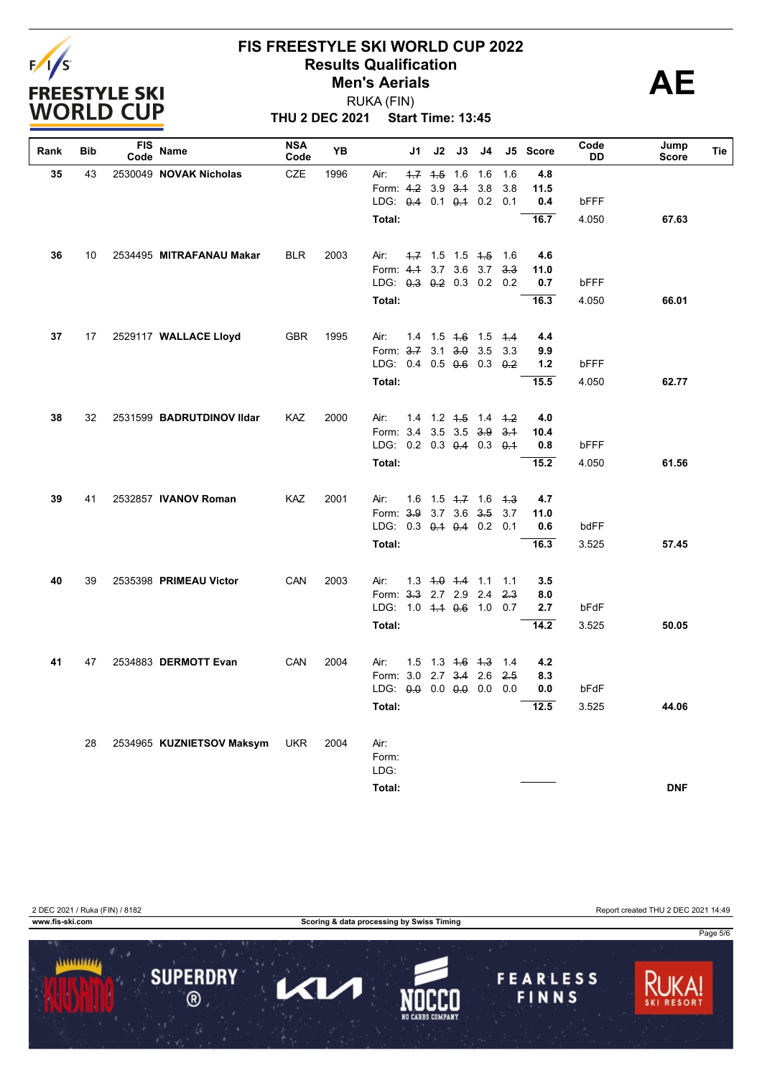

**THU 2 DEC 2021 Start Time: 13:45** RUKA (FIN)

| Rank | Bib | <b>FIS</b><br>Code | Name                      | <b>NSA</b><br>Code | YB   | J1                            | J2                                        | J3                | J4  |             | J5 Score   | Code<br>DD | Jump<br><b>Score</b> | Tie |
|------|-----|--------------------|---------------------------|--------------------|------|-------------------------------|-------------------------------------------|-------------------|-----|-------------|------------|------------|----------------------|-----|
| 35   | 43  |                    | 2530049 NOVAK Nicholas    | <b>CZE</b>         | 1996 | Air:                          | $1.7$ $1.5$                               | 1.6               | 1.6 | 1.6         | 4.8        |            |                      |     |
|      |     |                    |                           |                    |      | Form: 4.2 3.9                 |                                           | $3-1$             | 3.8 | 3.8         | 11.5       |            |                      |     |
|      |     |                    |                           |                    |      | LDG: 0.4 0.1 0.1 0.2 0.1      |                                           |                   |     |             | 0.4        | bFFF       |                      |     |
|      |     |                    |                           |                    |      | Total:                        |                                           |                   |     |             | 16.7       | 4.050      | 67.63                |     |
| 36   | 10  |                    | 2534495 MITRAFANAU Makar  | <b>BLR</b>         | 2003 | Air:                          | 4.7 1.5 1.5 4.5 1.6                       |                   |     |             | 4.6        |            |                      |     |
|      |     |                    |                           |                    |      | Form: $4.4$                   |                                           | 3.7 3.6 3.7       |     | 3.3         | 11.0       |            |                      |     |
|      |     |                    |                           |                    |      | LDG: 0.3 0.2 0.3 0.2 0.2      |                                           |                   |     |             | 0.7        | bFFF       |                      |     |
|      |     |                    |                           |                    |      | Total:                        |                                           |                   |     |             | 16.3       | 4.050      | 66.01                |     |
|      |     |                    |                           |                    |      |                               |                                           |                   |     |             |            |            |                      |     |
| 37   | 17  |                    | 2529117 WALLACE Lloyd     | <b>GBR</b>         | 1995 | Air:<br>Form: 3.7 3.1 3.0 3.5 | 1.4 1.5 <del>1.6</del> 1.5 <del>1.4</del> |                   |     | 3.3         | 4.4<br>9.9 |            |                      |     |
|      |     |                    |                           |                    |      | LDG: 0.4 0.5 0.6 0.3          |                                           |                   |     | $\theta$ .2 | 1.2        | bFFF       |                      |     |
|      |     |                    |                           |                    |      | Total:                        |                                           |                   |     |             | 15.5       | 4.050      | 62.77                |     |
|      |     |                    |                           |                    |      |                               |                                           |                   |     |             |            |            |                      |     |
| 38   | 32  |                    | 2531599 BADRUTDINOV IIdar | <b>KAZ</b>         | 2000 | Air:                          | 14 12 <del>15</del> 14 <del>12</del>      |                   |     |             | 4.0        |            |                      |     |
|      |     |                    |                           |                    |      | Form: 3.4 3.5 3.5 3.9         |                                           |                   |     | $-3.1$      | 10.4       |            |                      |     |
|      |     |                    |                           |                    |      | LDG: 0.2 0.3 0.4 0.3 0.4      |                                           |                   |     |             | 0.8        | bFFF       |                      |     |
|      |     |                    |                           |                    |      | Total:                        |                                           |                   |     |             | 15.2       | 4.050      | 61.56                |     |
| 39   | 41  |                    | 2532857 IVANOV Roman      | KAZ                | 2001 | Air:                          | $1.6$ $1.5$ $4.7$ $1.6$ $4.3$             |                   |     |             | 4.7        |            |                      |     |
|      |     |                    |                           |                    |      | Form: 3.9 3.7 3.6 3.5         |                                           |                   |     | 3.7         | 11.0       |            |                      |     |
|      |     |                    |                           |                    |      | LDG: 0.3 0.4 0.4 0.2 0.1      |                                           |                   |     |             | 0.6        | bdFF       |                      |     |
|      |     |                    |                           |                    |      | Total:                        |                                           |                   |     |             | 16.3       | 3.525      | 57.45                |     |
|      |     |                    |                           |                    |      |                               |                                           |                   |     |             |            |            |                      |     |
| 40   | 39  |                    | 2535398 PRIMEAU Victor    | CAN                | 2003 | Air:<br>Form: 3.3 2.7 2.9 2.4 | 1.3 4.0 4.4 1.1 1.1                       |                   |     | 2.3         | 3.5<br>8.0 |            |                      |     |
|      |     |                    |                           |                    |      | LDG: $1.0 + 1.4 + 0.6 + 1.0$  |                                           |                   |     | 0.7         | 2.7        | bFdF       |                      |     |
|      |     |                    |                           |                    |      | Total:                        |                                           |                   |     |             | 14.2       | 3.525      | 50.05                |     |
|      |     |                    |                           |                    |      |                               |                                           |                   |     |             |            |            |                      |     |
| 41   | 47  |                    | 2534883 DERMOTT Evan      | CAN                | 2004 | Air:                          | 1.5 1.3 <del>1.6</del> <del>1.3</del> 1.4 |                   |     |             | 4.2        |            |                      |     |
|      |     |                    |                           |                    |      | Form: 3.0                     |                                           | $2.7$ $3.4$ $2.6$ |     | $2-5$       | 8.3        |            |                      |     |
|      |     |                    |                           |                    |      | LDG: 0.0 0.0 0.0 0.0          |                                           |                   |     | 0.0         | 0.0        | bFdF       |                      |     |
|      |     |                    |                           |                    |      | Total:                        |                                           |                   |     |             | 12.5       | 3.525      | 44.06                |     |
|      | 28  |                    | 2534965 KUZNIETSOV Maksym | <b>UKR</b>         | 2004 | Air:                          |                                           |                   |     |             |            |            |                      |     |
|      |     |                    |                           |                    |      | Form:                         |                                           |                   |     |             |            |            |                      |     |
|      |     |                    |                           |                    |      | LDG:                          |                                           |                   |     |             |            |            |                      |     |
|      |     |                    |                           |                    |      | Total:                        |                                           |                   |     |             |            |            | <b>DNF</b>           |     |